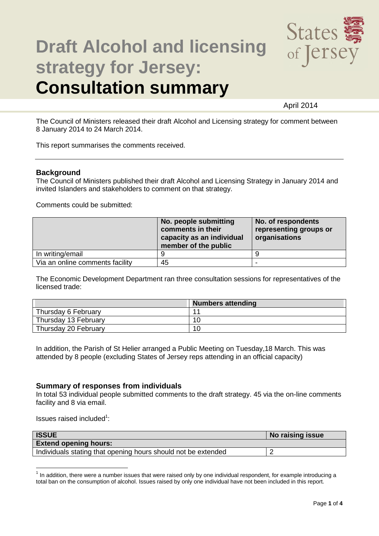

# **Draft Alcohol and licensing strategy for Jersey: Consultation summary**

April 2014

The Council of Ministers released their draft Alcohol and Licensing strategy for comment between 8 January 2014 to 24 March 2014.

This report summarises the comments received.

## **Background**

The Council of Ministers published their draft Alcohol and Licensing Strategy in January 2014 and invited Islanders and stakeholders to comment on that strategy.

Comments could be submitted:

|                                 | No. people submitting<br>comments in their<br>capacity as an individual<br>member of the public | No. of respondents<br>representing groups or<br>organisations |
|---------------------------------|-------------------------------------------------------------------------------------------------|---------------------------------------------------------------|
| In writing/email                |                                                                                                 |                                                               |
| Via an online comments facility | 45                                                                                              |                                                               |

The Economic Development Department ran three consultation sessions for representatives of the licensed trade:

|                      | <b>Numbers attending</b> |
|----------------------|--------------------------|
| Thursday 6 February  | $\overline{ }$           |
| Thursday 13 February | 10                       |
| Thursday 20 February | 10                       |

In addition, the Parish of St Helier arranged a Public Meeting on Tuesday,18 March. This was attended by 8 people (excluding States of Jersey reps attending in an official capacity)

## **Summary of responses from individuals**

In total 53 individual people submitted comments to the draft strategy. 45 via the on-line comments facility and 8 via email.

Issues raised included<sup>1</sup>:

 $\overline{a}$ 

| <b>ISSUE</b>                                                  | No raising issue |
|---------------------------------------------------------------|------------------|
| <b>Extend opening hours:</b>                                  |                  |
| Individuals stating that opening hours should not be extended |                  |

<sup>1</sup> In addition, there were a number issues that were raised only by one individual respondent, for example introducing a total ban on the consumption of alcohol. Issues raised by only one individual have not been included in this report.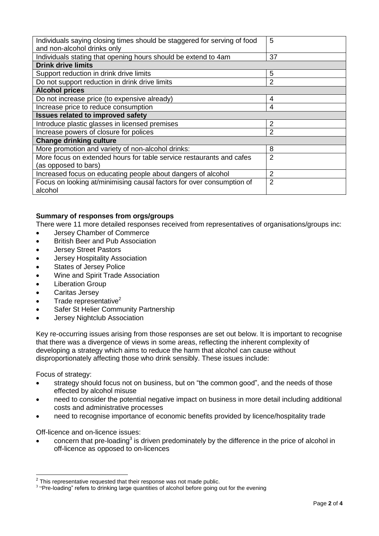| Individuals saying closing times should be staggered for serving of food | 5              |  |  |
|--------------------------------------------------------------------------|----------------|--|--|
| and non-alcohol drinks only                                              |                |  |  |
| Individuals stating that opening hours should be extend to 4am           | 37             |  |  |
| <b>Drink drive limits</b>                                                |                |  |  |
| Support reduction in drink drive limits                                  | 5              |  |  |
| Do not support reduction in drink drive limits                           | 2              |  |  |
| <b>Alcohol prices</b>                                                    |                |  |  |
| Do not increase price (to expensive already)                             | 4              |  |  |
| Increase price to reduce consumption                                     | 4              |  |  |
| <b>Issues related to improved safety</b>                                 |                |  |  |
| Introduce plastic glasses in licensed premises                           | 2              |  |  |
| Increase powers of closure for polices                                   | 2              |  |  |
| <b>Change drinking culture</b>                                           |                |  |  |
| More promotion and variety of non-alcohol drinks:                        | 8              |  |  |
| More focus on extended hours for table service restaurants and cafes     | $\overline{2}$ |  |  |
| (as opposed to bars)                                                     |                |  |  |
| Increased focus on educating people about dangers of alcohol             | $\overline{2}$ |  |  |
| Focus on looking at/minimising causal factors for over consumption of    | 2              |  |  |
| alcohol                                                                  |                |  |  |

## **Summary of responses from orgs/groups**

There were 11 more detailed responses received from representatives of organisations/groups inc:

- Jersey Chamber of Commerce
- British Beer and Pub Association
- Jersey Street Pastors
- Jersey Hospitality Association
- States of Jersey Police
- Wine and Spirit Trade Association
- Liberation Group
- Caritas Jersey
- Trade representative<sup>2</sup>
- Safer St Helier Community Partnership
- Jersey Nightclub Association

Key re-occurring issues arising from those responses are set out below. It is important to recognise that there was a divergence of views in some areas, reflecting the inherent complexity of developing a strategy which aims to reduce the harm that alcohol can cause without disproportionately affecting those who drink sensibly. These issues include:

Focus of strategy:

- strategy should focus not on business, but on "the common good", and the needs of those effected by alcohol misuse
- need to consider the potential negative impact on business in more detail including additional costs and administrative processes
- need to recognise importance of economic benefits provided by licence/hospitality trade

Off-licence and on-licence issues:

 $\bullet$  concern that pre-loading<sup>3</sup> is driven predominately by the difference in the price of alcohol in off-licence as opposed to on-licences

This representative requested that their response was not made public.

 $3$  "Pre-loading" refers to drinking large quantities of alcohol before going out for the evening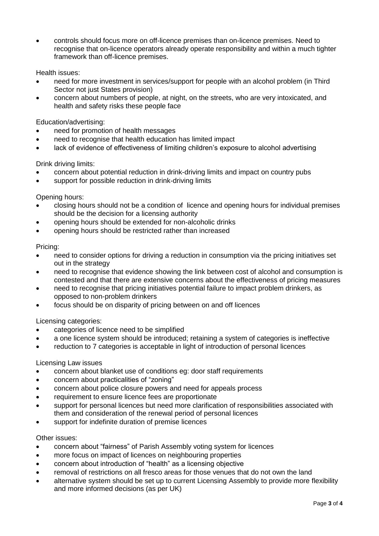controls should focus more on off-licence premises than on-licence premises. Need to recognise that on-licence operators already operate responsibility and within a much tighter framework than off-licence premises.

## Health issues:

- need for more investment in services/support for people with an alcohol problem (in Third Sector not just States provision)
- concern about numbers of people, at night, on the streets, who are very intoxicated, and health and safety risks these people face

## Education/advertising:

- need for promotion of health messages
- need to recognise that health education has limited impact
- lack of evidence of effectiveness of limiting children's exposure to alcohol advertising

## Drink driving limits:

- concern about potential reduction in drink-driving limits and impact on country pubs
- support for possible reduction in drink-driving limits

## Opening hours:

- closing hours should not be a condition of licence and opening hours for individual premises should be the decision for a licensing authority
- opening hours should be extended for non-alcoholic drinks
- opening hours should be restricted rather than increased

#### Pricing:

- need to consider options for driving a reduction in consumption via the pricing initiatives set out in the strategy
- need to recognise that evidence showing the link between cost of alcohol and consumption is contested and that there are extensive concerns about the effectiveness of pricing measures
- need to recognise that pricing initiatives potential failure to impact problem drinkers, as opposed to non-problem drinkers
- focus should be on disparity of pricing between on and off licences

#### Licensing categories:

- categories of licence need to be simplified
- a one licence system should be introduced; retaining a system of categories is ineffective
- reduction to 7 categories is acceptable in light of introduction of personal licences

#### Licensing Law issues

- concern about blanket use of conditions eg: door staff requirements
- concern about practicalities of "zoning"
- concern about police closure powers and need for appeals process
- requirement to ensure licence fees are proportionate
- support for personal licences but need more clarification of responsibilities associated with them and consideration of the renewal period of personal licences
- support for indefinite duration of premise licences

#### Other issues:

- concern about "fairness" of Parish Assembly voting system for licences
- more focus on impact of licences on neighbouring properties
- concern about introduction of "health" as a licensing objective
- removal of restrictions on all fresco areas for those venues that do not own the land
- alternative system should be set up to current Licensing Assembly to provide more flexibility and more informed decisions (as per UK)